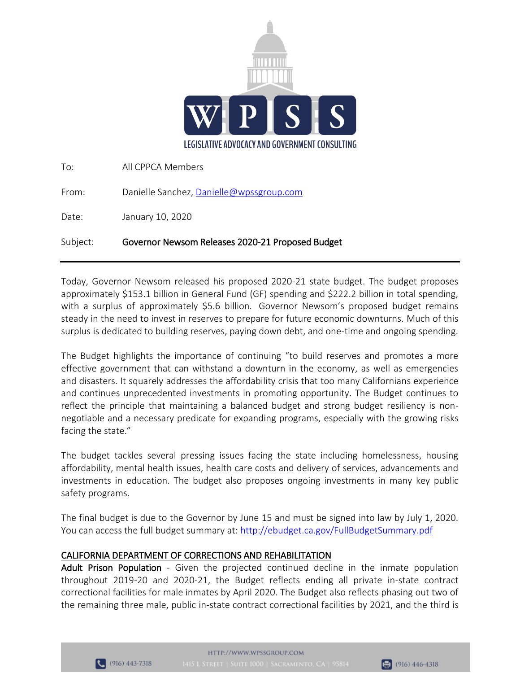

| Subject: | Governor Newsom Releases 2020-21 Proposed Budget |
|----------|--------------------------------------------------|
| Date:    | January 10, 2020                                 |
| From:    | Danielle Sanchez, Danielle@wpssgroup.com         |
| To:      | All CPPCA Members                                |

Today, Governor Newsom released his proposed 2020-21 state budget. The budget proposes approximately \$153.1 billion in General Fund (GF) spending and \$222.2 billion in total spending, with a surplus of approximately \$5.6 billion. Governor Newsom's proposed budget remains steady in the need to invest in reserves to prepare for future economic downturns. Much of this surplus is dedicated to building reserves, paying down debt, and one-time and ongoing spending.

The Budget highlights the importance of continuing "to build reserves and promotes a more effective government that can withstand a downturn in the economy, as well as emergencies and disasters. It squarely addresses the affordability crisis that too many Californians experience and continues unprecedented investments in promoting opportunity. The Budget continues to reflect the principle that maintaining a balanced budget and strong budget resiliency is nonnegotiable and a necessary predicate for expanding programs, especially with the growing risks facing the state."

The budget tackles several pressing issues facing the state including homelessness, housing affordability, mental health issues, health care costs and delivery of services, advancements and investments in education. The budget also proposes ongoing investments in many key public safety programs.

The final budget is due to the Governor by June 15 and must be signed into law by July 1, 2020. You can access the full budget summary at:<http://ebudget.ca.gov/FullBudgetSummary.pdf>

# CALIFORNIA DEPARTMENT OF CORRECTIONS AND REHABILITATION

Adult Prison Population - Given the projected continued decline in the inmate population throughout 2019-20 and 2020-21, the Budget reflects ending all private in-state contract correctional facilities for male inmates by April 2020. The Budget also reflects phasing out two of the remaining three male, public in-state contract correctional facilities by 2021, and the third is



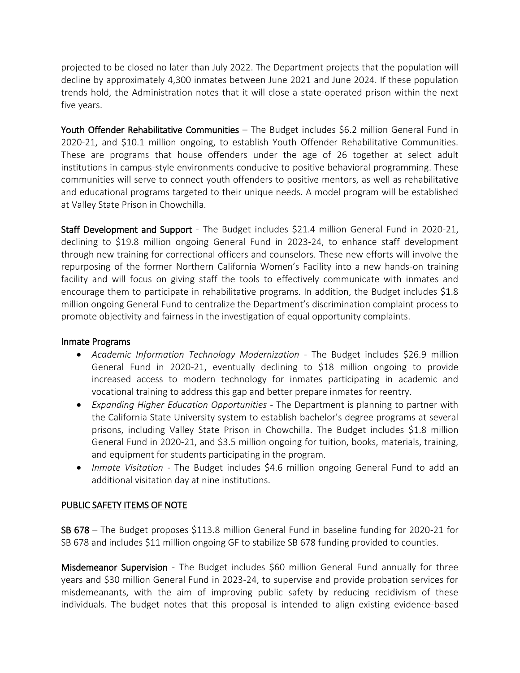projected to be closed no later than July 2022. The Department projects that the population will decline by approximately 4,300 inmates between June 2021 and June 2024. If these population trends hold, the Administration notes that it will close a state-operated prison within the next five years.

Youth Offender Rehabilitative Communities – The Budget includes \$6.2 million General Fund in 2020-21, and \$10.1 million ongoing, to establish Youth Offender Rehabilitative Communities. These are programs that house offenders under the age of 26 together at select adult institutions in campus-style environments conducive to positive behavioral programming. These communities will serve to connect youth offenders to positive mentors, as well as rehabilitative and educational programs targeted to their unique needs. A model program will be established at Valley State Prison in Chowchilla.

Staff Development and Support - The Budget includes \$21.4 million General Fund in 2020-21, declining to \$19.8 million ongoing General Fund in 2023-24, to enhance staff development through new training for correctional officers and counselors. These new efforts will involve the repurposing of the former Northern California Women's Facility into a new hands-on training facility and will focus on giving staff the tools to effectively communicate with inmates and encourage them to participate in rehabilitative programs. In addition, the Budget includes \$1.8 million ongoing General Fund to centralize the Department's discrimination complaint process to promote objectivity and fairness in the investigation of equal opportunity complaints.

### Inmate Programs

- *Academic Information Technology Modernization*  The Budget includes \$26.9 million General Fund in 2020-21, eventually declining to \$18 million ongoing to provide increased access to modern technology for inmates participating in academic and vocational training to address this gap and better prepare inmates for reentry.
- *Expanding Higher Education Opportunities -* The Department is planning to partner with the California State University system to establish bachelor's degree programs at several prisons, including Valley State Prison in Chowchilla. The Budget includes \$1.8 million General Fund in 2020-21, and \$3.5 million ongoing for tuition, books, materials, training, and equipment for students participating in the program.
- *Inmate Visitation -* The Budget includes \$4.6 million ongoing General Fund to add an additional visitation day at nine institutions.

## PUBLIC SAFETY ITEMS OF NOTE

SB 678 – The Budget proposes \$113.8 million General Fund in baseline funding for 2020-21 for SB 678 and includes \$11 million ongoing GF to stabilize SB 678 funding provided to counties.

Misdemeanor Supervision - The Budget includes \$60 million General Fund annually for three years and \$30 million General Fund in 2023-24, to supervise and provide probation services for misdemeanants, with the aim of improving public safety by reducing recidivism of these individuals. The budget notes that this proposal is intended to align existing evidence-based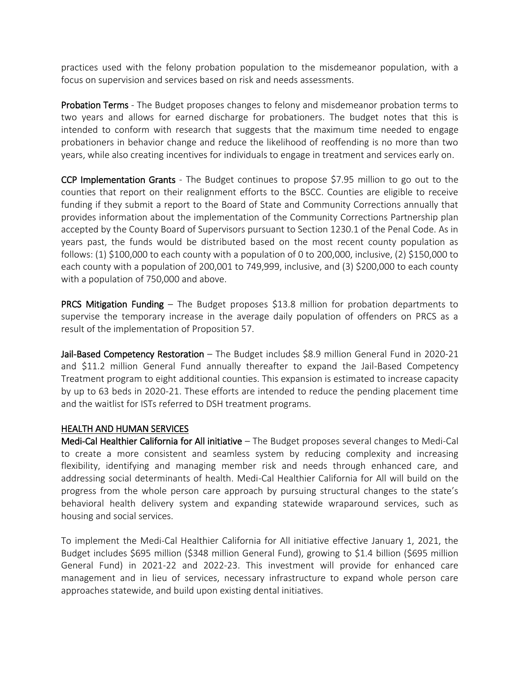practices used with the felony probation population to the misdemeanor population, with a focus on supervision and services based on risk and needs assessments.

Probation Terms - The Budget proposes changes to felony and misdemeanor probation terms to two years and allows for earned discharge for probationers. The budget notes that this is intended to conform with research that suggests that the maximum time needed to engage probationers in behavior change and reduce the likelihood of reoffending is no more than two years, while also creating incentives for individuals to engage in treatment and services early on.

CCP Implementation Grants - The Budget continues to propose \$7.95 million to go out to the counties that report on their realignment efforts to the BSCC. Counties are eligible to receive funding if they submit a report to the Board of State and Community Corrections annually that provides information about the implementation of the Community Corrections Partnership plan accepted by the County Board of Supervisors pursuant to Section 1230.1 of the Penal Code. As in years past, the funds would be distributed based on the most recent county population as follows: (1) \$100,000 to each county with a population of 0 to 200,000, inclusive, (2) \$150,000 to each county with a population of 200,001 to 749,999, inclusive, and (3) \$200,000 to each county with a population of 750,000 and above.

PRCS Mitigation Funding – The Budget proposes \$13.8 million for probation departments to supervise the temporary increase in the average daily population of offenders on PRCS as a result of the implementation of Proposition 57.

Jail-Based Competency Restoration - The Budget includes \$8.9 million General Fund in 2020-21 and \$11.2 million General Fund annually thereafter to expand the Jail-Based Competency Treatment program to eight additional counties. This expansion is estimated to increase capacity by up to 63 beds in 2020-21. These efforts are intended to reduce the pending placement time and the waitlist for ISTs referred to DSH treatment programs.

#### HEALTH AND HUMAN SERVICES

Medi-Cal Healthier California for All initiative – The Budget proposes several changes to Medi-Cal to create a more consistent and seamless system by reducing complexity and increasing flexibility, identifying and managing member risk and needs through enhanced care, and addressing social determinants of health. Medi-Cal Healthier California for All will build on the progress from the whole person care approach by pursuing structural changes to the state's behavioral health delivery system and expanding statewide wraparound services, such as housing and social services.

To implement the Medi-Cal Healthier California for All initiative effective January 1, 2021, the Budget includes \$695 million (\$348 million General Fund), growing to \$1.4 billion (\$695 million General Fund) in 2021-22 and 2022-23. This investment will provide for enhanced care management and in lieu of services, necessary infrastructure to expand whole person care approaches statewide, and build upon existing dental initiatives.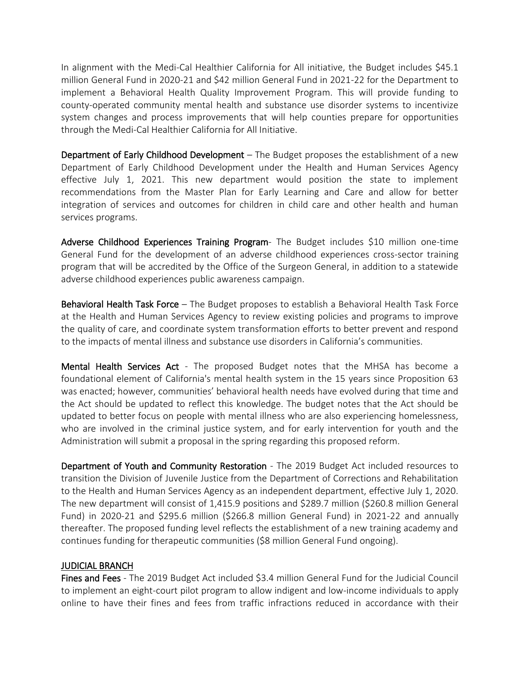In alignment with the Medi-Cal Healthier California for All initiative, the Budget includes \$45.1 million General Fund in 2020-21 and \$42 million General Fund in 2021-22 for the Department to implement a Behavioral Health Quality Improvement Program. This will provide funding to county-operated community mental health and substance use disorder systems to incentivize system changes and process improvements that will help counties prepare for opportunities through the Medi-Cal Healthier California for All Initiative.

Department of Early Childhood Development – The Budget proposes the establishment of a new Department of Early Childhood Development under the Health and Human Services Agency effective July 1, 2021. This new department would position the state to implement recommendations from the Master Plan for Early Learning and Care and allow for better integration of services and outcomes for children in child care and other health and human services programs.

Adverse Childhood Experiences Training Program- The Budget includes \$10 million one-time General Fund for the development of an adverse childhood experiences cross-sector training program that will be accredited by the Office of the Surgeon General, in addition to a statewide adverse childhood experiences public awareness campaign.

Behavioral Health Task Force – The Budget proposes to establish a Behavioral Health Task Force at the Health and Human Services Agency to review existing policies and programs to improve the quality of care, and coordinate system transformation efforts to better prevent and respond to the impacts of mental illness and substance use disorders in California's communities.

Mental Health Services Act - The proposed Budget notes that the MHSA has become a foundational element of California's mental health system in the 15 years since Proposition 63 was enacted; however, communities' behavioral health needs have evolved during that time and the Act should be updated to reflect this knowledge. The budget notes that the Act should be updated to better focus on people with mental illness who are also experiencing homelessness, who are involved in the criminal justice system, and for early intervention for youth and the Administration will submit a proposal in the spring regarding this proposed reform.

Department of Youth and Community Restoration - The 2019 Budget Act included resources to transition the Division of Juvenile Justice from the Department of Corrections and Rehabilitation to the Health and Human Services Agency as an independent department, effective July 1, 2020. The new department will consist of 1,415.9 positions and \$289.7 million (\$260.8 million General Fund) in 2020-21 and \$295.6 million (\$266.8 million General Fund) in 2021-22 and annually thereafter. The proposed funding level reflects the establishment of a new training academy and continues funding for therapeutic communities (\$8 million General Fund ongoing).

### JUDICIAL BRANCH

Fines and Fees - The 2019 Budget Act included \$3.4 million General Fund for the Judicial Council to implement an eight-court pilot program to allow indigent and low-income individuals to apply online to have their fines and fees from traffic infractions reduced in accordance with their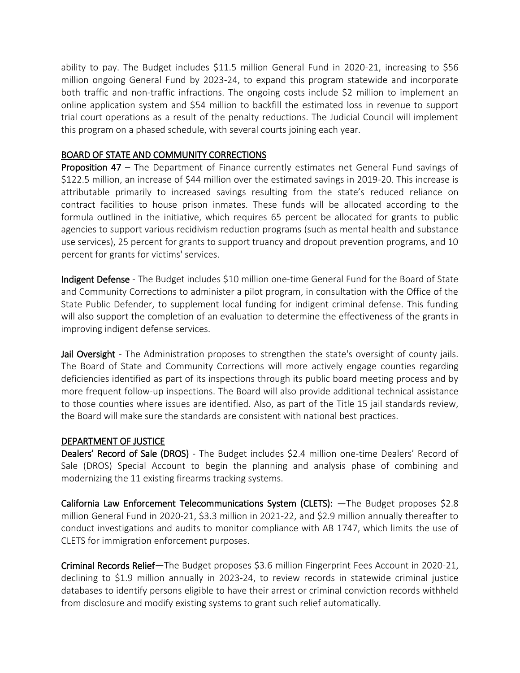ability to pay. The Budget includes \$11.5 million General Fund in 2020-21, increasing to \$56 million ongoing General Fund by 2023-24, to expand this program statewide and incorporate both traffic and non-traffic infractions. The ongoing costs include \$2 million to implement an online application system and \$54 million to backfill the estimated loss in revenue to support trial court operations as a result of the penalty reductions. The Judicial Council will implement this program on a phased schedule, with several courts joining each year.

### BOARD OF STATE AND COMMUNITY CORRECTIONS

Proposition 47 – The Department of Finance currently estimates net General Fund savings of \$122.5 million, an increase of \$44 million over the estimated savings in 2019-20. This increase is attributable primarily to increased savings resulting from the state's reduced reliance on contract facilities to house prison inmates. These funds will be allocated according to the formula outlined in the initiative, which requires 65 percent be allocated for grants to public agencies to support various recidivism reduction programs (such as mental health and substance use services), 25 percent for grants to support truancy and dropout prevention programs, and 10 percent for grants for victims' services.

Indigent Defense - The Budget includes \$10 million one-time General Fund for the Board of State and Community Corrections to administer a pilot program, in consultation with the Office of the State Public Defender, to supplement local funding for indigent criminal defense. This funding will also support the completion of an evaluation to determine the effectiveness of the grants in improving indigent defense services.

**Jail Oversight** - The Administration proposes to strengthen the state's oversight of county jails. The Board of State and Community Corrections will more actively engage counties regarding deficiencies identified as part of its inspections through its public board meeting process and by more frequent follow-up inspections. The Board will also provide additional technical assistance to those counties where issues are identified. Also, as part of the Title 15 jail standards review, the Board will make sure the standards are consistent with national best practices.

### DEPARTMENT OF JUSTICE

Dealers' Record of Sale (DROS) - The Budget includes \$2.4 million one-time Dealers' Record of Sale (DROS) Special Account to begin the planning and analysis phase of combining and modernizing the 11 existing firearms tracking systems.

California Law Enforcement Telecommunications System (CLETS): —The Budget proposes \$2.8 million General Fund in 2020-21, \$3.3 million in 2021-22, and \$2.9 million annually thereafter to conduct investigations and audits to monitor compliance with AB 1747, which limits the use of CLETS for immigration enforcement purposes.

Criminal Records Relief—The Budget proposes \$3.6 million Fingerprint Fees Account in 2020-21, declining to \$1.9 million annually in 2023-24, to review records in statewide criminal justice databases to identify persons eligible to have their arrest or criminal conviction records withheld from disclosure and modify existing systems to grant such relief automatically.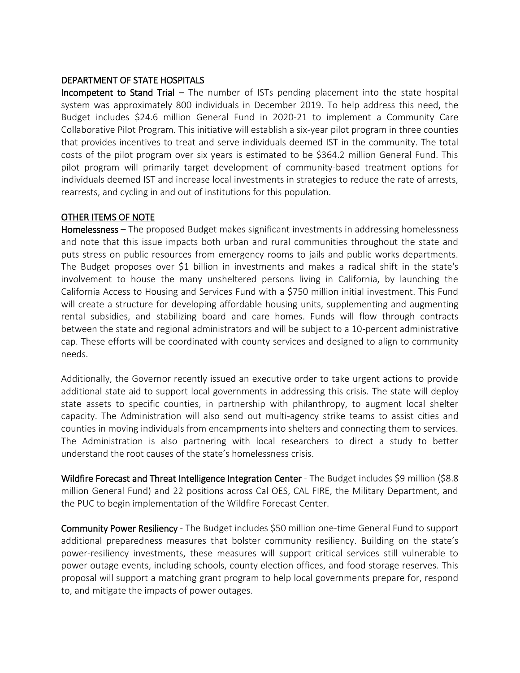### DEPARTMENT OF STATE HOSPITALS

Incompetent to Stand Trial – The number of ISTs pending placement into the state hospital system was approximately 800 individuals in December 2019. To help address this need, the Budget includes \$24.6 million General Fund in 2020-21 to implement a Community Care Collaborative Pilot Program. This initiative will establish a six-year pilot program in three counties that provides incentives to treat and serve individuals deemed IST in the community. The total costs of the pilot program over six years is estimated to be \$364.2 million General Fund. This pilot program will primarily target development of community-based treatment options for individuals deemed IST and increase local investments in strategies to reduce the rate of arrests, rearrests, and cycling in and out of institutions for this population.

### OTHER ITEMS OF NOTE

Homelessness – The proposed Budget makes significant investments in addressing homelessness and note that this issue impacts both urban and rural communities throughout the state and puts stress on public resources from emergency rooms to jails and public works departments. The Budget proposes over \$1 billion in investments and makes a radical shift in the state's involvement to house the many unsheltered persons living in California, by launching the California Access to Housing and Services Fund with a \$750 million initial investment. This Fund will create a structure for developing affordable housing units, supplementing and augmenting rental subsidies, and stabilizing board and care homes. Funds will flow through contracts between the state and regional administrators and will be subject to a 10-percent administrative cap. These efforts will be coordinated with county services and designed to align to community needs.

Additionally, the Governor recently issued an executive order to take urgent actions to provide additional state aid to support local governments in addressing this crisis. The state will deploy state assets to specific counties, in partnership with philanthropy, to augment local shelter capacity. The Administration will also send out multi-agency strike teams to assist cities and counties in moving individuals from encampments into shelters and connecting them to services. The Administration is also partnering with local researchers to direct a study to better understand the root causes of the state's homelessness crisis.

Wildfire Forecast and Threat Intelligence Integration Center - The Budget includes \$9 million (\$8.8) million General Fund) and 22 positions across Cal OES, CAL FIRE, the Military Department, and the PUC to begin implementation of the Wildfire Forecast Center.

Community Power Resiliency - The Budget includes \$50 million one-time General Fund to support additional preparedness measures that bolster community resiliency. Building on the state's power-resiliency investments, these measures will support critical services still vulnerable to power outage events, including schools, county election offices, and food storage reserves. This proposal will support a matching grant program to help local governments prepare for, respond to, and mitigate the impacts of power outages.